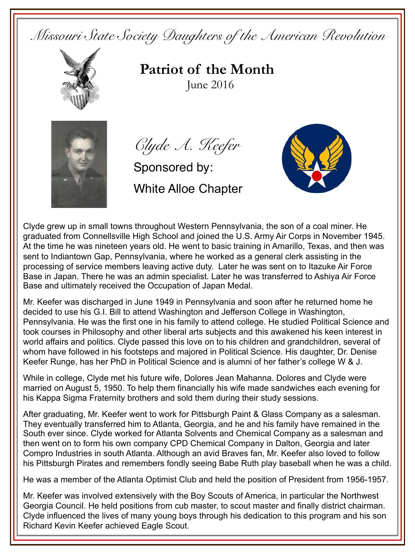*Missouri State Society Daughters of the American Revolution* 



**Patriot of the Month**June 2016



*Clyde A. Keefer*

Sponsored by: White Alloe Chapter



Clyde grew up in small towns throughout Western Pennsylvania, the son of a coal miner. He graduated from Connellsville High School and joined the U.S. Army Air Corps in November 1945. At the time he was nineteen years old. He went to basic training in Amarillo, Texas, and then was sent to Indiantown Gap, Pennsylvania, where he worked as a general clerk assisting in the processing of service members leaving active duty. Later he was sent on to Itazuke Air Force Base in Japan. There he was an admin specialist. Later he was transferred to Ashiya Air Force Base and ultimately received the Occupation of Japan Medal.

Mr. Keefer was discharged in June 1949 in Pennsylvania and soon after he returned home he decided to use his G.I. Bill to attend Washington and Jefferson College in Washington, Pennsylvania. He was the first one in his family to attend college. He studied Political Science and took courses in Philosophy and other liberal arts subjects and this awakened his keen interest in world affairs and politics. Clyde passed this love on to his children and grandchildren, several of whom have followed in his footsteps and majored in Political Science. His daughter, Dr. Denise Keefer Runge, has her PhD in Political Science and is alumni of her father's college W & J.

While in college, Clyde met his future wife, Dolores Jean Mahanna. Dolores and Clyde were married on August 5, 1950. To help them financially his wife made sandwiches each evening for his Kappa Sigma Fraternity brothers and sold them during their study sessions.

After graduating, Mr. Keefer went to work for Pittsburgh Paint & Glass Company as a salesman. They eventually transferred him to Atlanta, Georgia, and he and his family have remained in the South ever since. Clyde worked for Atlanta Solvents and Chemical Company as a salesman and then went on to form his own company CPD Chemical Company in Dalton, Georgia and later Compro Industries in south Atlanta. Although an avid Braves fan, Mr. Keefer also loved to follow his Pittsburgh Pirates and remembers fondly seeing Babe Ruth play baseball when he was a child.

He was a member of the Atlanta Optimist Club and held the position of President from 1956-1957.

Mr. Keefer was involved extensively with the Boy Scouts of America, in particular the Northwest Georgia Council. He held positions from cub master, to scout master and finally district chairman. Clyde influenced the lives of many young boys through his dedication to this program and his son Richard Kevin Keefer achieved Eagle Scout.